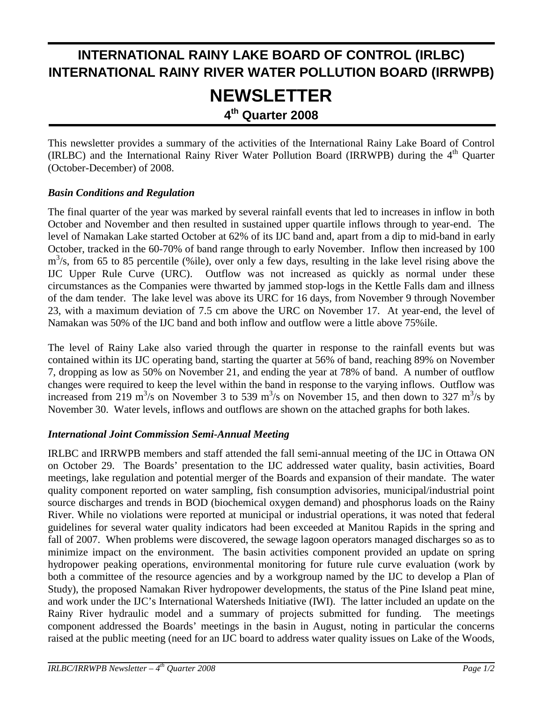# **INTERNATIONAL RAINY LAKE BOARD OF CONTROL (IRLBC) INTERNATIONAL RAINY RIVER WATER POLLUTION BOARD (IRRWPB) NEWSLETTER 4th Quarter 2008**

This newsletter provides a summary of the activities of the International Rainy Lake Board of Control (IRLBC) and the International Rainy River Water Pollution Board (IRRWPB) during the 4<sup>th</sup> Quarter (October-December) of 2008.

#### *Basin Conditions and Regulation*

The final quarter of the year was marked by several rainfall events that led to increases in inflow in both October and November and then resulted in sustained upper quartile inflows through to year-end. The level of Namakan Lake started October at 62% of its IJC band and, apart from a dip to mid-band in early October, tracked in the 60-70% of band range through to early November. Inflow then increased by 100  $m<sup>3</sup>/s$ , from 65 to 85 percentile (%ile), over only a few days, resulting in the lake level rising above the IJC Upper Rule Curve (URC). Outflow was not increased as quickly as normal under these circumstances as the Companies were thwarted by jammed stop-logs in the Kettle Falls dam and illness of the dam tender. The lake level was above its URC for 16 days, from November 9 through November 23, with a maximum deviation of 7.5 cm above the URC on November 17. At year-end, the level of Namakan was 50% of the IJC band and both inflow and outflow were a little above 75%ile.

The level of Rainy Lake also varied through the quarter in response to the rainfall events but was contained within its IJC operating band, starting the quarter at 56% of band, reaching 89% on November 7, dropping as low as 50% on November 21, and ending the year at 78% of band. A number of outflow changes were required to keep the level within the band in response to the varying inflows. Outflow was increased from 219 m<sup>3</sup>/s on November 3 to 539 m<sup>3</sup>/s on November 15, and then down to 327 m<sup>3</sup>/s by November 30. Water levels, inflows and outflows are shown on the attached graphs for both lakes.

#### *International Joint Commission Semi-Annual Meeting*

IRLBC and IRRWPB members and staff attended the fall semi-annual meeting of the IJC in Ottawa ON on October 29. The Boards' presentation to the IJC addressed water quality, basin activities, Board meetings, lake regulation and potential merger of the Boards and expansion of their mandate. The water quality component reported on water sampling, fish consumption advisories, municipal/industrial point source discharges and trends in BOD (biochemical oxygen demand) and phosphorus loads on the Rainy River. While no violations were reported at municipal or industrial operations, it was noted that federal guidelines for several water quality indicators had been exceeded at Manitou Rapids in the spring and fall of 2007. When problems were discovered, the sewage lagoon operators managed discharges so as to minimize impact on the environment. The basin activities component provided an update on spring hydropower peaking operations, environmental monitoring for future rule curve evaluation (work by both a committee of the resource agencies and by a workgroup named by the IJC to develop a Plan of Study), the proposed Namakan River hydropower developments, the status of the Pine Island peat mine, and work under the IJC's International Watersheds Initiative (IWI). The latter included an update on the Rainy River hydraulic model and a summary of projects submitted for funding. The meetings component addressed the Boards' meetings in the basin in August, noting in particular the concerns raised at the public meeting (need for an IJC board to address water quality issues on Lake of the Woods,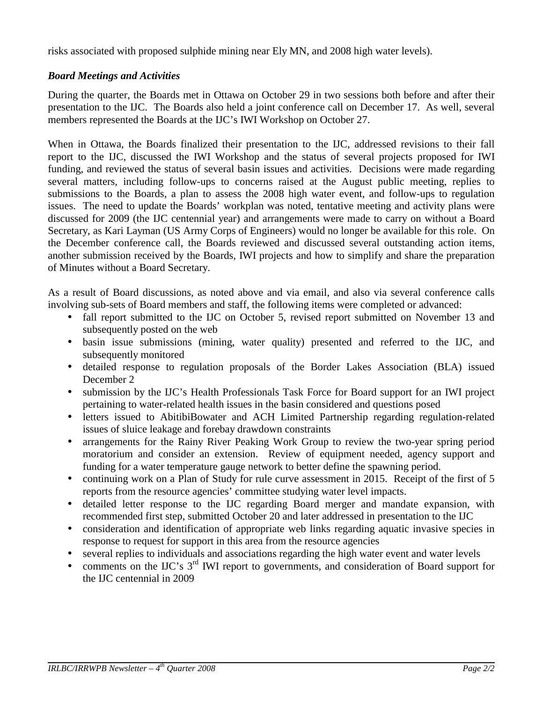risks associated with proposed sulphide mining near Ely MN, and 2008 high water levels).

#### *Board Meetings and Activities*

During the quarter, the Boards met in Ottawa on October 29 in two sessions both before and after their presentation to the IJC. The Boards also held a joint conference call on December 17. As well, several members represented the Boards at the IJC's IWI Workshop on October 27.

When in Ottawa, the Boards finalized their presentation to the IJC, addressed revisions to their fall report to the IJC, discussed the IWI Workshop and the status of several projects proposed for IWI funding, and reviewed the status of several basin issues and activities. Decisions were made regarding several matters, including follow-ups to concerns raised at the August public meeting, replies to submissions to the Boards, a plan to assess the 2008 high water event, and follow-ups to regulation issues. The need to update the Boards' workplan was noted, tentative meeting and activity plans were discussed for 2009 (the IJC centennial year) and arrangements were made to carry on without a Board Secretary, as Kari Layman (US Army Corps of Engineers) would no longer be available for this role. On the December conference call, the Boards reviewed and discussed several outstanding action items, another submission received by the Boards, IWI projects and how to simplify and share the preparation of Minutes without a Board Secretary.

As a result of Board discussions, as noted above and via email, and also via several conference calls involving sub-sets of Board members and staff, the following items were completed or advanced:

- fall report submitted to the IJC on October 5, revised report submitted on November 13 and subsequently posted on the web
- basin issue submissions (mining, water quality) presented and referred to the IJC, and subsequently monitored
- detailed response to regulation proposals of the Border Lakes Association (BLA) issued December 2
- submission by the IJC's Health Professionals Task Force for Board support for an IWI project pertaining to water-related health issues in the basin considered and questions posed
- letters issued to AbitibiBowater and ACH Limited Partnership regarding regulation-related issues of sluice leakage and forebay drawdown constraints
- arrangements for the Rainy River Peaking Work Group to review the two-year spring period moratorium and consider an extension. Review of equipment needed, agency support and funding for a water temperature gauge network to better define the spawning period.
- continuing work on a Plan of Study for rule curve assessment in 2015. Receipt of the first of 5 reports from the resource agencies' committee studying water level impacts.
- detailed letter response to the IJC regarding Board merger and mandate expansion, with recommended first step, submitted October 20 and later addressed in presentation to the IJC
- consideration and identification of appropriate web links regarding aquatic invasive species in response to request for support in this area from the resource agencies
- several replies to individuals and associations regarding the high water event and water levels
- comments on the IJC's  $3<sup>rd</sup>$  IWI report to governments, and consideration of Board support for the IJC centennial in 2009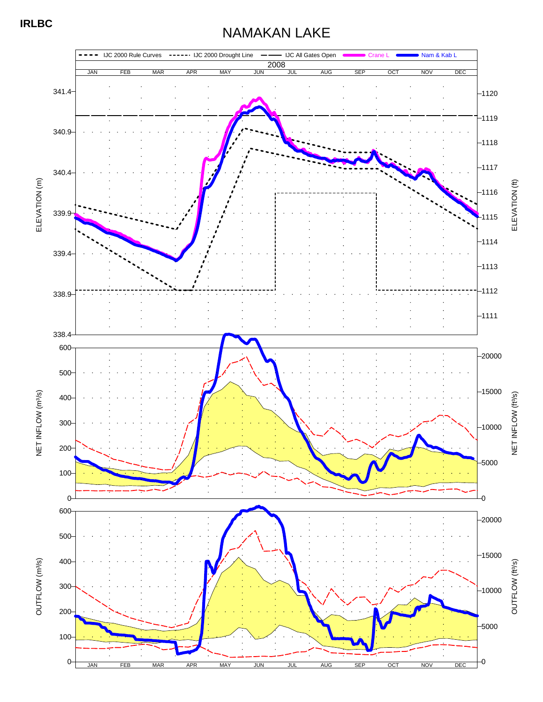## NAMAKAN LAKE